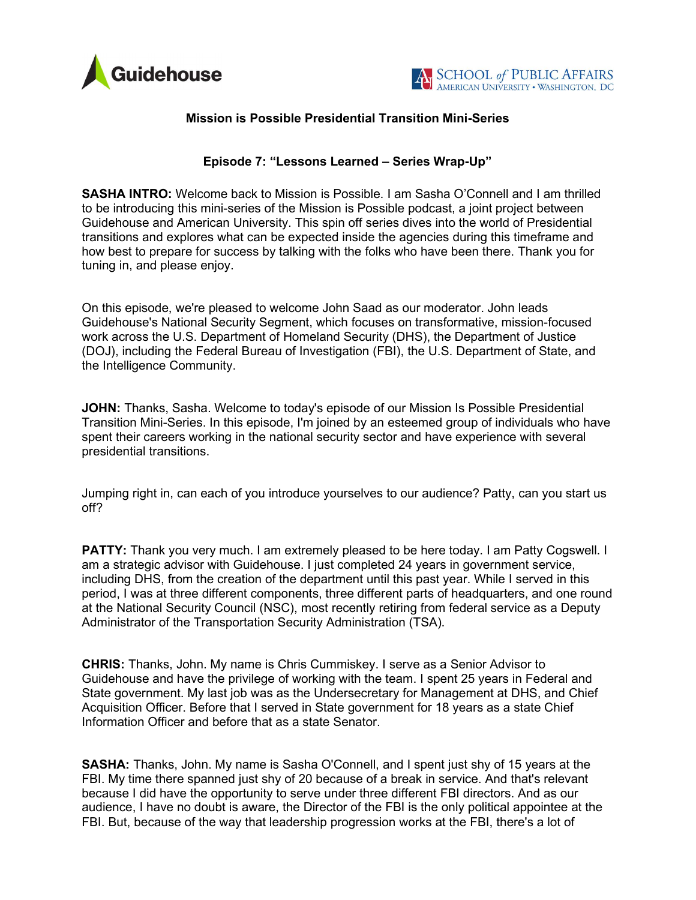



## Mission is Possible Presidential Transition Mini-Series

## Episode 7: "Lessons Learned – Series Wrap-Up"

SASHA INTRO: Welcome back to Mission is Possible. I am Sasha O'Connell and I am thrilled to be introducing this mini-series of the Mission is Possible podcast, a joint project between Guidehouse and American University. This spin off series dives into the world of Presidential transitions and explores what can be expected inside the agencies during this timeframe and how best to prepare for success by talking with the folks who have been there. Thank you for tuning in, and please enjoy.

On this episode, we're pleased to welcome John Saad as our moderator. John leads Guidehouse's National Security Segment, which focuses on transformative, mission-focused work across the U.S. Department of Homeland Security (DHS), the Department of Justice (DOJ), including the Federal Bureau of Investigation (FBI), the U.S. Department of State, and the Intelligence Community.

**JOHN:** Thanks, Sasha. Welcome to today's episode of our Mission Is Possible Presidential Transition Mini-Series. In this episode, I'm joined by an esteemed group of individuals who have spent their careers working in the national security sector and have experience with several presidential transitions.

Jumping right in, can each of you introduce yourselves to our audience? Patty, can you start us off?

**PATTY:** Thank you very much. I am extremely pleased to be here today. I am Patty Cogswell. I am a strategic advisor with Guidehouse. I just completed 24 years in government service, including DHS, from the creation of the department until this past year. While I served in this period, I was at three different components, three different parts of headquarters, and one round at the National Security Council (NSC), most recently retiring from federal service as a Deputy Administrator of the Transportation Security Administration (TSA).

CHRIS: Thanks, John. My name is Chris Cummiskey. I serve as a Senior Advisor to Guidehouse and have the privilege of working with the team. I spent 25 years in Federal and State government. My last job was as the Undersecretary for Management at DHS, and Chief Acquisition Officer. Before that I served in State government for 18 years as a state Chief Information Officer and before that as a state Senator.

SASHA: Thanks, John. My name is Sasha O'Connell, and I spent just shy of 15 years at the FBI. My time there spanned just shy of 20 because of a break in service. And that's relevant because I did have the opportunity to serve under three different FBI directors. And as our audience, I have no doubt is aware, the Director of the FBI is the only political appointee at the FBI. But, because of the way that leadership progression works at the FBI, there's a lot of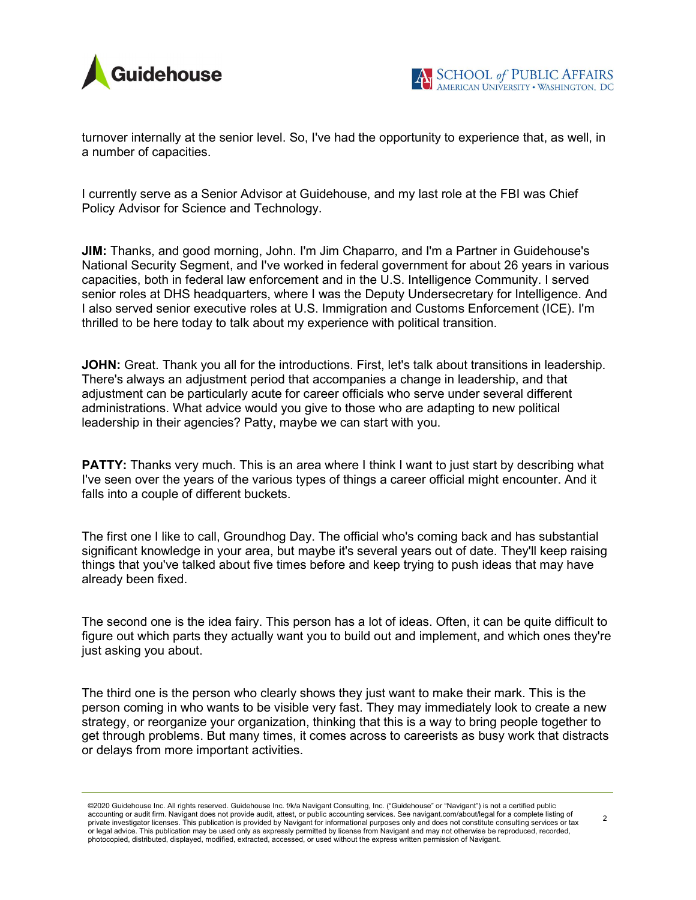

turnover internally at the senior level. So, I've had the opportunity to experience that, as well, in a number of capacities.

I currently serve as a Senior Advisor at Guidehouse, and my last role at the FBI was Chief Policy Advisor for Science and Technology.

JIM: Thanks, and good morning, John. I'm Jim Chaparro, and I'm a Partner in Guidehouse's National Security Segment, and I've worked in federal government for about 26 years in various capacities, both in federal law enforcement and in the U.S. Intelligence Community. I served senior roles at DHS headquarters, where I was the Deputy Undersecretary for Intelligence. And I also served senior executive roles at U.S. Immigration and Customs Enforcement (ICE). I'm thrilled to be here today to talk about my experience with political transition.

**JOHN:** Great. Thank you all for the introductions. First, let's talk about transitions in leadership. There's always an adjustment period that accompanies a change in leadership, and that adjustment can be particularly acute for career officials who serve under several different administrations. What advice would you give to those who are adapting to new political leadership in their agencies? Patty, maybe we can start with you.

**PATTY:** Thanks very much. This is an area where I think I want to just start by describing what I've seen over the years of the various types of things a career official might encounter. And it falls into a couple of different buckets.

The first one I like to call, Groundhog Day. The official who's coming back and has substantial significant knowledge in your area, but maybe it's several years out of date. They'll keep raising things that you've talked about five times before and keep trying to push ideas that may have already been fixed.

The second one is the idea fairy. This person has a lot of ideas. Often, it can be quite difficult to figure out which parts they actually want you to build out and implement, and which ones they're just asking you about.

The third one is the person who clearly shows they just want to make their mark. This is the person coming in who wants to be visible very fast. They may immediately look to create a new strategy, or reorganize your organization, thinking that this is a way to bring people together to get through problems. But many times, it comes across to careerists as busy work that distracts or delays from more important activities.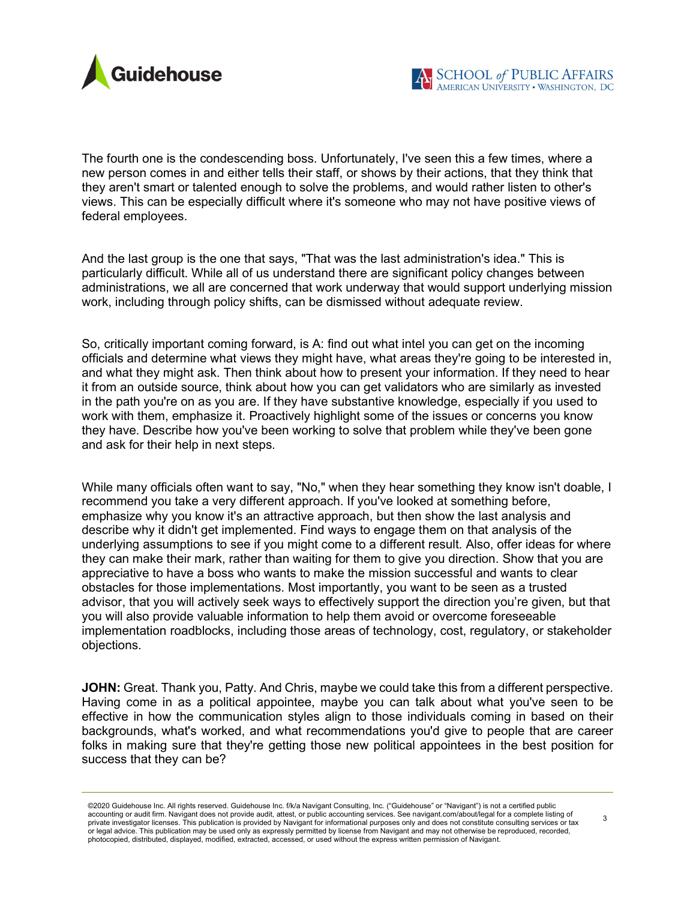

The fourth one is the condescending boss. Unfortunately, I've seen this a few times, where a new person comes in and either tells their staff, or shows by their actions, that they think that they aren't smart or talented enough to solve the problems, and would rather listen to other's views. This can be especially difficult where it's someone who may not have positive views of federal employees.

And the last group is the one that says, "That was the last administration's idea." This is particularly difficult. While all of us understand there are significant policy changes between administrations, we all are concerned that work underway that would support underlying mission work, including through policy shifts, can be dismissed without adequate review.

So, critically important coming forward, is A: find out what intel you can get on the incoming officials and determine what views they might have, what areas they're going to be interested in, and what they might ask. Then think about how to present your information. If they need to hear it from an outside source, think about how you can get validators who are similarly as invested in the path you're on as you are. If they have substantive knowledge, especially if you used to work with them, emphasize it. Proactively highlight some of the issues or concerns you know they have. Describe how you've been working to solve that problem while they've been gone and ask for their help in next steps.

While many officials often want to say, "No," when they hear something they know isn't doable, I recommend you take a very different approach. If you've looked at something before, emphasize why you know it's an attractive approach, but then show the last analysis and describe why it didn't get implemented. Find ways to engage them on that analysis of the underlying assumptions to see if you might come to a different result. Also, offer ideas for where they can make their mark, rather than waiting for them to give you direction. Show that you are appreciative to have a boss who wants to make the mission successful and wants to clear obstacles for those implementations. Most importantly, you want to be seen as a trusted advisor, that you will actively seek ways to effectively support the direction you're given, but that you will also provide valuable information to help them avoid or overcome foreseeable implementation roadblocks, including those areas of technology, cost, regulatory, or stakeholder objections.

JOHN: Great. Thank you, Patty. And Chris, maybe we could take this from a different perspective. Having come in as a political appointee, maybe you can talk about what you've seen to be effective in how the communication styles align to those individuals coming in based on their backgrounds, what's worked, and what recommendations you'd give to people that are career folks in making sure that they're getting those new political appointees in the best position for success that they can be?

<sup>©2020</sup> Guidehouse Inc. All rights reserved. Guidehouse Inc. f/k/a Navigant Consulting, Inc. ("Guidehouse" or "Navigant") is not a certified public accounting or audit firm. Navigant does not provide audit, attest, or public accounting services. See navigant.com/about/legal for a complete listing of private investigator licenses. This publication is provided by Navigant for informational purposes only and does not constitute consulting services or tax or legal advice. This publication may be used only as expressly permitted by license from Navigant and may not otherwise be reproduced, recorded, photocopied, distributed, displayed, modified, extracted, accessed, or used without the express written permission of Navigant.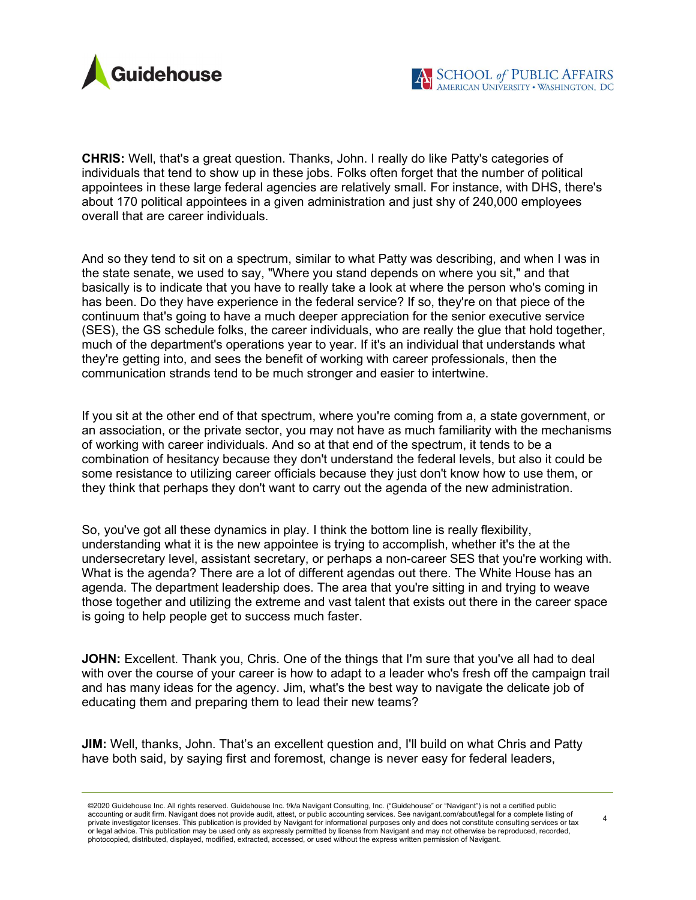

CHRIS: Well, that's a great question. Thanks, John. I really do like Patty's categories of individuals that tend to show up in these jobs. Folks often forget that the number of political appointees in these large federal agencies are relatively small. For instance, with DHS, there's about 170 political appointees in a given administration and just shy of 240,000 employees overall that are career individuals.

And so they tend to sit on a spectrum, similar to what Patty was describing, and when I was in the state senate, we used to say, "Where you stand depends on where you sit," and that basically is to indicate that you have to really take a look at where the person who's coming in has been. Do they have experience in the federal service? If so, they're on that piece of the continuum that's going to have a much deeper appreciation for the senior executive service (SES), the GS schedule folks, the career individuals, who are really the glue that hold together, much of the department's operations year to year. If it's an individual that understands what they're getting into, and sees the benefit of working with career professionals, then the communication strands tend to be much stronger and easier to intertwine.

If you sit at the other end of that spectrum, where you're coming from a, a state government, or an association, or the private sector, you may not have as much familiarity with the mechanisms of working with career individuals. And so at that end of the spectrum, it tends to be a combination of hesitancy because they don't understand the federal levels, but also it could be some resistance to utilizing career officials because they just don't know how to use them, or they think that perhaps they don't want to carry out the agenda of the new administration.

So, you've got all these dynamics in play. I think the bottom line is really flexibility, understanding what it is the new appointee is trying to accomplish, whether it's the at the undersecretary level, assistant secretary, or perhaps a non-career SES that you're working with. What is the agenda? There are a lot of different agendas out there. The White House has an agenda. The department leadership does. The area that you're sitting in and trying to weave those together and utilizing the extreme and vast talent that exists out there in the career space is going to help people get to success much faster.

JOHN: Excellent. Thank you, Chris. One of the things that I'm sure that you've all had to deal with over the course of your career is how to adapt to a leader who's fresh off the campaign trail and has many ideas for the agency. Jim, what's the best way to navigate the delicate job of educating them and preparing them to lead their new teams?

JIM: Well, thanks, John. That's an excellent question and, I'll build on what Chris and Patty have both said, by saying first and foremost, change is never easy for federal leaders,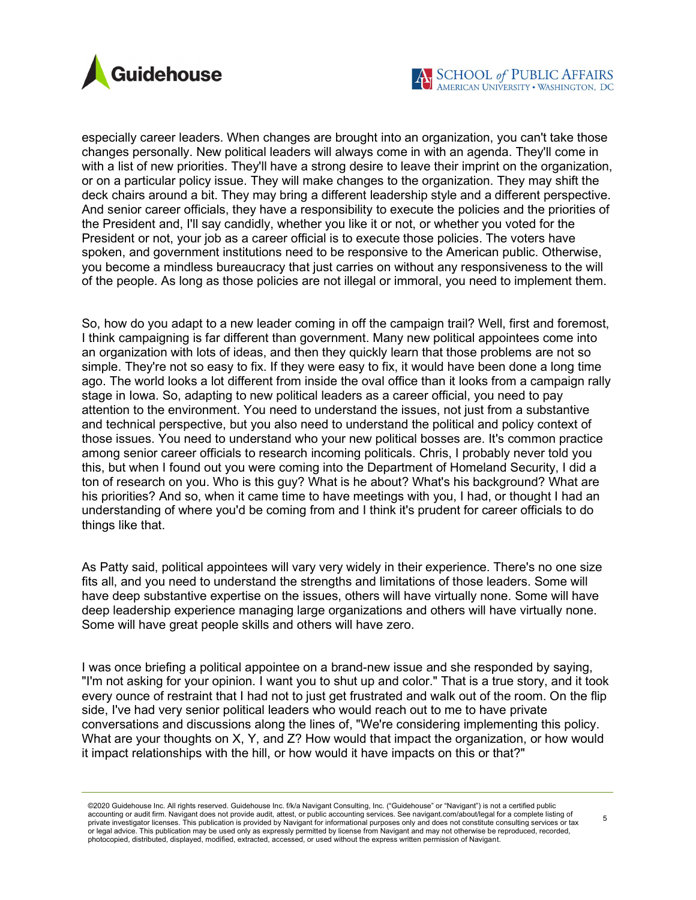

especially career leaders. When changes are brought into an organization, you can't take those changes personally. New political leaders will always come in with an agenda. They'll come in with a list of new priorities. They'll have a strong desire to leave their imprint on the organization, or on a particular policy issue. They will make changes to the organization. They may shift the deck chairs around a bit. They may bring a different leadership style and a different perspective. And senior career officials, they have a responsibility to execute the policies and the priorities of the President and, I'll say candidly, whether you like it or not, or whether you voted for the President or not, your job as a career official is to execute those policies. The voters have spoken, and government institutions need to be responsive to the American public. Otherwise, you become a mindless bureaucracy that just carries on without any responsiveness to the will of the people. As long as those policies are not illegal or immoral, you need to implement them.

So, how do you adapt to a new leader coming in off the campaign trail? Well, first and foremost, I think campaigning is far different than government. Many new political appointees come into an organization with lots of ideas, and then they quickly learn that those problems are not so simple. They're not so easy to fix. If they were easy to fix, it would have been done a long time ago. The world looks a lot different from inside the oval office than it looks from a campaign rally stage in Iowa. So, adapting to new political leaders as a career official, you need to pay attention to the environment. You need to understand the issues, not just from a substantive and technical perspective, but you also need to understand the political and policy context of those issues. You need to understand who your new political bosses are. It's common practice among senior career officials to research incoming politicals. Chris, I probably never told you this, but when I found out you were coming into the Department of Homeland Security, I did a ton of research on you. Who is this guy? What is he about? What's his background? What are his priorities? And so, when it came time to have meetings with you, I had, or thought I had an understanding of where you'd be coming from and I think it's prudent for career officials to do things like that.

As Patty said, political appointees will vary very widely in their experience. There's no one size fits all, and you need to understand the strengths and limitations of those leaders. Some will have deep substantive expertise on the issues, others will have virtually none. Some will have deep leadership experience managing large organizations and others will have virtually none. Some will have great people skills and others will have zero.

I was once briefing a political appointee on a brand-new issue and she responded by saying, "I'm not asking for your opinion. I want you to shut up and color." That is a true story, and it took every ounce of restraint that I had not to just get frustrated and walk out of the room. On the flip side, I've had very senior political leaders who would reach out to me to have private conversations and discussions along the lines of, "We're considering implementing this policy. What are your thoughts on X, Y, and Z? How would that impact the organization, or how would it impact relationships with the hill, or how would it have impacts on this or that?"

©2020 Guidehouse Inc. All rights reserved. Guidehouse Inc. f/k/a Navigant Consulting, Inc. ("Guidehouse" or "Navigant") is not a certified public accounting or audit firm. Navigant does not provide audit, attest, or public accounting services. See navigant.com/about/legal for a complete listing of private investigator licenses. This publication is provided by Navigant for informational purposes only and does not constitute consulting services or tax or legal advice. This publication may be used only as expressly permitted by license from Navigant and may not otherwise be reproduced, recorded, photocopied, distributed, displayed, modified, extracted, accessed, or used without the express written permission of Navigant.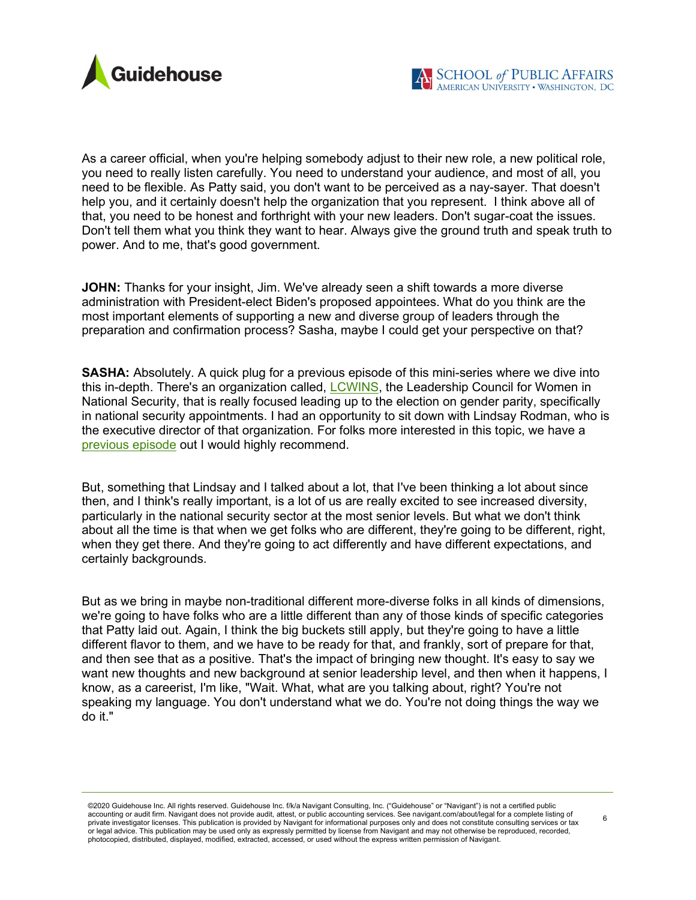

As a career official, when you're helping somebody adjust to their new role, a new political role, you need to really listen carefully. You need to understand your audience, and most of all, you need to be flexible. As Patty said, you don't want to be perceived as a nay-sayer. That doesn't help you, and it certainly doesn't help the organization that you represent. I think above all of that, you need to be honest and forthright with your new leaders. Don't sugar-coat the issues. Don't tell them what you think they want to hear. Always give the ground truth and speak truth to power. And to me, that's good government.

**JOHN:** Thanks for your insight, Jim. We've already seen a shift towards a more diverse administration with President-elect Biden's proposed appointees. What do you think are the most important elements of supporting a new and diverse group of leaders through the preparation and confirmation process? Sasha, maybe I could get your perspective on that?

SASHA: Absolutely. A quick plug for a previous episode of this mini-series where we dive into this in-depth. There's an organization called, LCWINS, the Leadership Council for Women in National Security, that is really focused leading up to the election on gender parity, specifically in national security appointments. I had an opportunity to sit down with Lindsay Rodman, who is the executive director of that organization. For folks more interested in this topic, we have a previous episode out I would highly recommend.

But, something that Lindsay and I talked about a lot, that I've been thinking a lot about since then, and I think's really important, is a lot of us are really excited to see increased diversity, particularly in the national security sector at the most senior levels. But what we don't think about all the time is that when we get folks who are different, they're going to be different, right, when they get there. And they're going to act differently and have different expectations, and certainly backgrounds.

But as we bring in maybe non-traditional different more-diverse folks in all kinds of dimensions, we're going to have folks who are a little different than any of those kinds of specific categories that Patty laid out. Again, I think the big buckets still apply, but they're going to have a little different flavor to them, and we have to be ready for that, and frankly, sort of prepare for that, and then see that as a positive. That's the impact of bringing new thought. It's easy to say we want new thoughts and new background at senior leadership level, and then when it happens, I know, as a careerist, I'm like, "Wait. What, what are you talking about, right? You're not speaking my language. You don't understand what we do. You're not doing things the way we do it."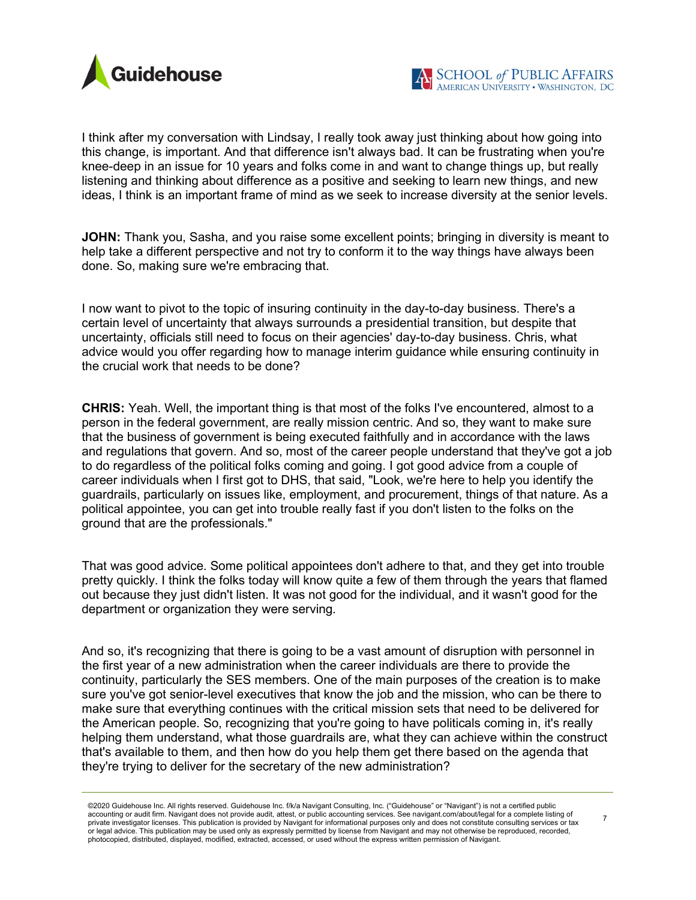

I think after my conversation with Lindsay, I really took away just thinking about how going into this change, is important. And that difference isn't always bad. It can be frustrating when you're knee-deep in an issue for 10 years and folks come in and want to change things up, but really listening and thinking about difference as a positive and seeking to learn new things, and new ideas, I think is an important frame of mind as we seek to increase diversity at the senior levels.

JOHN: Thank you, Sasha, and you raise some excellent points; bringing in diversity is meant to help take a different perspective and not try to conform it to the way things have always been done. So, making sure we're embracing that.

I now want to pivot to the topic of insuring continuity in the day-to-day business. There's a certain level of uncertainty that always surrounds a presidential transition, but despite that uncertainty, officials still need to focus on their agencies' day-to-day business. Chris, what advice would you offer regarding how to manage interim guidance while ensuring continuity in the crucial work that needs to be done?

CHRIS: Yeah. Well, the important thing is that most of the folks I've encountered, almost to a person in the federal government, are really mission centric. And so, they want to make sure that the business of government is being executed faithfully and in accordance with the laws and regulations that govern. And so, most of the career people understand that they've got a job to do regardless of the political folks coming and going. I got good advice from a couple of career individuals when I first got to DHS, that said, "Look, we're here to help you identify the guardrails, particularly on issues like, employment, and procurement, things of that nature. As a political appointee, you can get into trouble really fast if you don't listen to the folks on the ground that are the professionals."

That was good advice. Some political appointees don't adhere to that, and they get into trouble pretty quickly. I think the folks today will know quite a few of them through the years that flamed out because they just didn't listen. It was not good for the individual, and it wasn't good for the department or organization they were serving.

And so, it's recognizing that there is going to be a vast amount of disruption with personnel in the first year of a new administration when the career individuals are there to provide the continuity, particularly the SES members. One of the main purposes of the creation is to make sure you've got senior-level executives that know the job and the mission, who can be there to make sure that everything continues with the critical mission sets that need to be delivered for the American people. So, recognizing that you're going to have politicals coming in, it's really helping them understand, what those guardrails are, what they can achieve within the construct that's available to them, and then how do you help them get there based on the agenda that they're trying to deliver for the secretary of the new administration?

<sup>7</sup>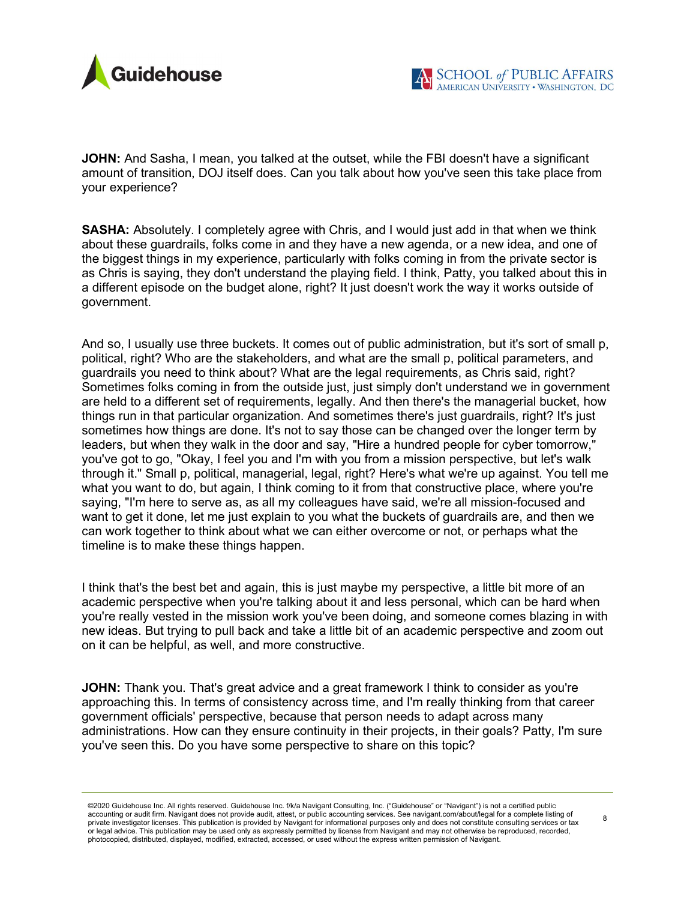

JOHN: And Sasha, I mean, you talked at the outset, while the FBI doesn't have a significant amount of transition, DOJ itself does. Can you talk about how you've seen this take place from your experience?

SASHA: Absolutely. I completely agree with Chris, and I would just add in that when we think about these guardrails, folks come in and they have a new agenda, or a new idea, and one of the biggest things in my experience, particularly with folks coming in from the private sector is as Chris is saying, they don't understand the playing field. I think, Patty, you talked about this in a different episode on the budget alone, right? It just doesn't work the way it works outside of government.

And so, I usually use three buckets. It comes out of public administration, but it's sort of small p, political, right? Who are the stakeholders, and what are the small p, political parameters, and guardrails you need to think about? What are the legal requirements, as Chris said, right? Sometimes folks coming in from the outside just, just simply don't understand we in government are held to a different set of requirements, legally. And then there's the managerial bucket, how things run in that particular organization. And sometimes there's just guardrails, right? It's just sometimes how things are done. It's not to say those can be changed over the longer term by leaders, but when they walk in the door and say, "Hire a hundred people for cyber tomorrow," you've got to go, "Okay, I feel you and I'm with you from a mission perspective, but let's walk through it." Small p, political, managerial, legal, right? Here's what we're up against. You tell me what you want to do, but again, I think coming to it from that constructive place, where you're saying, "I'm here to serve as, as all my colleagues have said, we're all mission-focused and want to get it done, let me just explain to you what the buckets of guardrails are, and then we can work together to think about what we can either overcome or not, or perhaps what the timeline is to make these things happen.

I think that's the best bet and again, this is just maybe my perspective, a little bit more of an academic perspective when you're talking about it and less personal, which can be hard when you're really vested in the mission work you've been doing, and someone comes blazing in with new ideas. But trying to pull back and take a little bit of an academic perspective and zoom out on it can be helpful, as well, and more constructive.

JOHN: Thank you. That's great advice and a great framework I think to consider as you're approaching this. In terms of consistency across time, and I'm really thinking from that career government officials' perspective, because that person needs to adapt across many administrations. How can they ensure continuity in their projects, in their goals? Patty, I'm sure you've seen this. Do you have some perspective to share on this topic?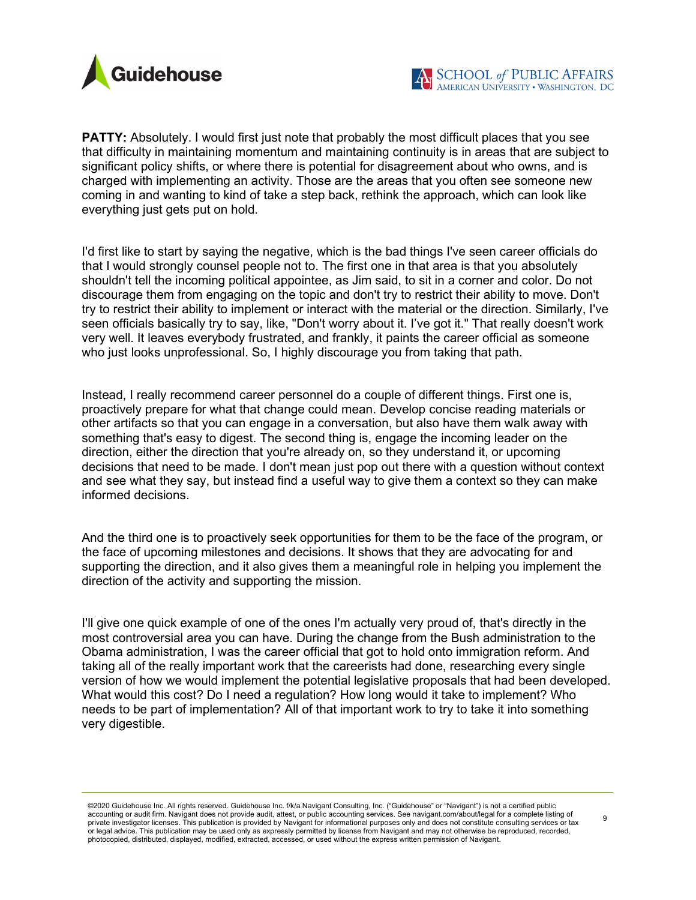

**PATTY:** Absolutely. I would first just note that probably the most difficult places that you see that difficulty in maintaining momentum and maintaining continuity is in areas that are subject to significant policy shifts, or where there is potential for disagreement about who owns, and is charged with implementing an activity. Those are the areas that you often see someone new coming in and wanting to kind of take a step back, rethink the approach, which can look like everything just gets put on hold.

I'd first like to start by saying the negative, which is the bad things I've seen career officials do that I would strongly counsel people not to. The first one in that area is that you absolutely shouldn't tell the incoming political appointee, as Jim said, to sit in a corner and color. Do not discourage them from engaging on the topic and don't try to restrict their ability to move. Don't try to restrict their ability to implement or interact with the material or the direction. Similarly, I've seen officials basically try to say, like, "Don't worry about it. I've got it." That really doesn't work very well. It leaves everybody frustrated, and frankly, it paints the career official as someone who just looks unprofessional. So, I highly discourage you from taking that path.

Instead, I really recommend career personnel do a couple of different things. First one is, proactively prepare for what that change could mean. Develop concise reading materials or other artifacts so that you can engage in a conversation, but also have them walk away with something that's easy to digest. The second thing is, engage the incoming leader on the direction, either the direction that you're already on, so they understand it, or upcoming decisions that need to be made. I don't mean just pop out there with a question without context and see what they say, but instead find a useful way to give them a context so they can make informed decisions.

And the third one is to proactively seek opportunities for them to be the face of the program, or the face of upcoming milestones and decisions. It shows that they are advocating for and supporting the direction, and it also gives them a meaningful role in helping you implement the direction of the activity and supporting the mission.

I'll give one quick example of one of the ones I'm actually very proud of, that's directly in the most controversial area you can have. During the change from the Bush administration to the Obama administration, I was the career official that got to hold onto immigration reform. And taking all of the really important work that the careerists had done, researching every single version of how we would implement the potential legislative proposals that had been developed. What would this cost? Do I need a regulation? How long would it take to implement? Who needs to be part of implementation? All of that important work to try to take it into something very digestible.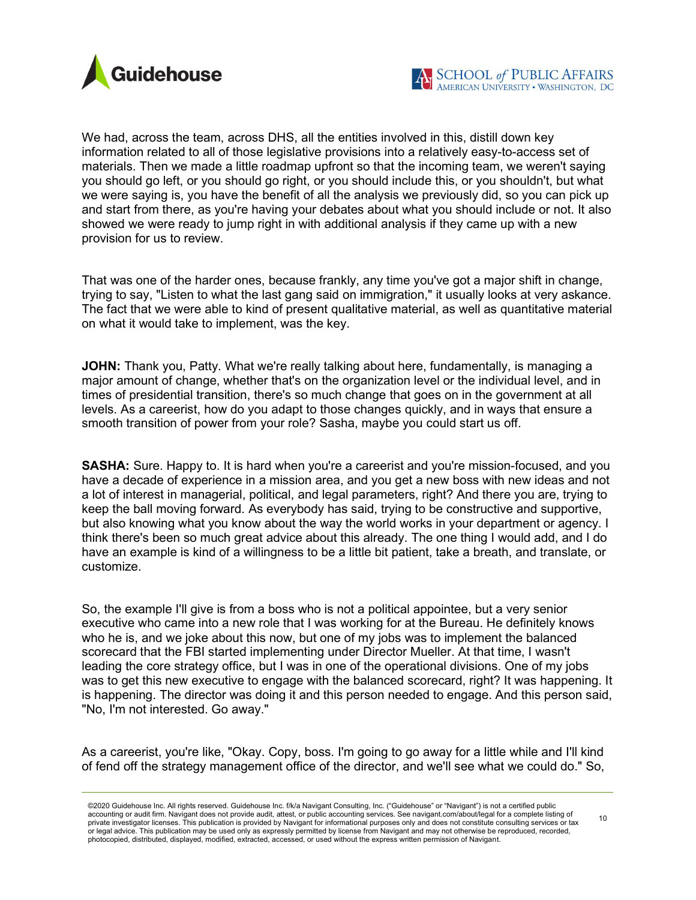

We had, across the team, across DHS, all the entities involved in this, distill down key information related to all of those legislative provisions into a relatively easy-to-access set of materials. Then we made a little roadmap upfront so that the incoming team, we weren't saying you should go left, or you should go right, or you should include this, or you shouldn't, but what we were saying is, you have the benefit of all the analysis we previously did, so you can pick up and start from there, as you're having your debates about what you should include or not. It also showed we were ready to jump right in with additional analysis if they came up with a new provision for us to review.

That was one of the harder ones, because frankly, any time you've got a major shift in change, trying to say, "Listen to what the last gang said on immigration," it usually looks at very askance. The fact that we were able to kind of present qualitative material, as well as quantitative material on what it would take to implement, was the key.

JOHN: Thank you, Patty. What we're really talking about here, fundamentally, is managing a major amount of change, whether that's on the organization level or the individual level, and in times of presidential transition, there's so much change that goes on in the government at all levels. As a careerist, how do you adapt to those changes quickly, and in ways that ensure a smooth transition of power from your role? Sasha, maybe you could start us off.

SASHA: Sure. Happy to. It is hard when you're a careerist and you're mission-focused, and you have a decade of experience in a mission area, and you get a new boss with new ideas and not a lot of interest in managerial, political, and legal parameters, right? And there you are, trying to keep the ball moving forward. As everybody has said, trying to be constructive and supportive, but also knowing what you know about the way the world works in your department or agency. I think there's been so much great advice about this already. The one thing I would add, and I do have an example is kind of a willingness to be a little bit patient, take a breath, and translate, or customize.

So, the example I'll give is from a boss who is not a political appointee, but a very senior executive who came into a new role that I was working for at the Bureau. He definitely knows who he is, and we joke about this now, but one of my jobs was to implement the balanced scorecard that the FBI started implementing under Director Mueller. At that time, I wasn't leading the core strategy office, but I was in one of the operational divisions. One of my jobs was to get this new executive to engage with the balanced scorecard, right? It was happening. It is happening. The director was doing it and this person needed to engage. And this person said, "No, I'm not interested. Go away."

As a careerist, you're like, "Okay. Copy, boss. I'm going to go away for a little while and I'll kind of fend off the strategy management office of the director, and we'll see what we could do." So,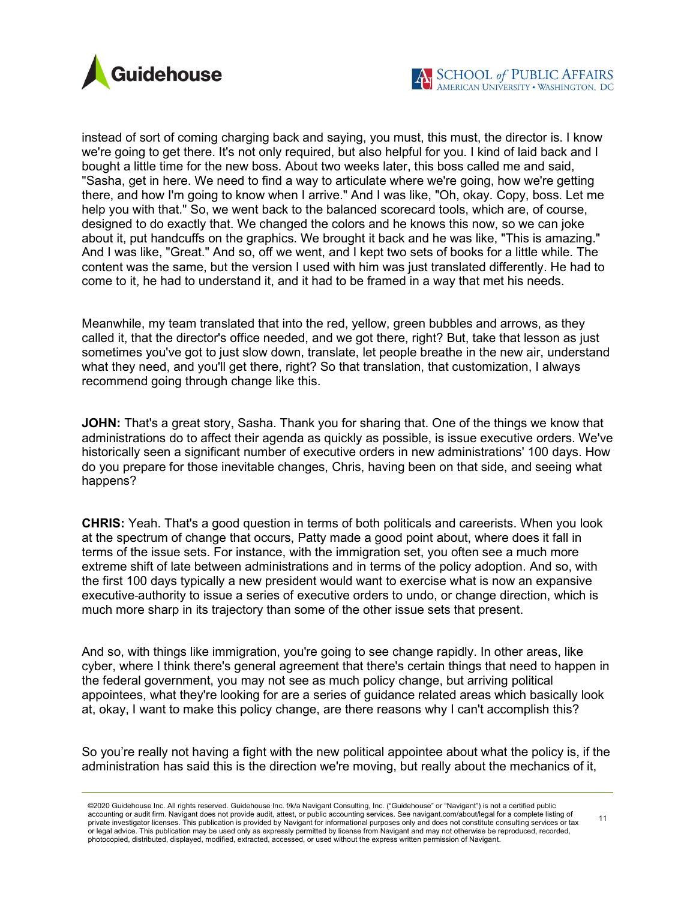



instead of sort of coming charging back and saying, you must, this must, the director is. I know we're going to get there. It's not only required, but also helpful for you. I kind of laid back and I bought a little time for the new boss. About two weeks later, this boss called me and said, "Sasha, get in here. We need to find a way to articulate where we're going, how we're getting there, and how I'm going to know when I arrive." And I was like, "Oh, okay. Copy, boss. Let me help you with that." So, we went back to the balanced scorecard tools, which are, of course, designed to do exactly that. We changed the colors and he knows this now, so we can joke about it, put handcuffs on the graphics. We brought it back and he was like, "This is amazing." And I was like, "Great." And so, off we went, and I kept two sets of books for a little while. The content was the same, but the version I used with him was just translated differently. He had to come to it, he had to understand it, and it had to be framed in a way that met his needs.

Meanwhile, my team translated that into the red, yellow, green bubbles and arrows, as they called it, that the director's office needed, and we got there, right? But, take that lesson as just sometimes you've got to just slow down, translate, let people breathe in the new air, understand what they need, and you'll get there, right? So that translation, that customization, I always recommend going through change like this.

**JOHN:** That's a great story, Sasha. Thank you for sharing that. One of the things we know that administrations do to affect their agenda as quickly as possible, is issue executive orders. We've historically seen a significant number of executive orders in new administrations' 100 days. How do you prepare for those inevitable changes, Chris, having been on that side, and seeing what happens?

CHRIS: Yeah. That's a good question in terms of both politicals and careerists. When you look at the spectrum of change that occurs, Patty made a good point about, where does it fall in terms of the issue sets. For instance, with the immigration set, you often see a much more extreme shift of late between administrations and in terms of the policy adoption. And so, with the first 100 days typically a new president would want to exercise what is now an expansive executive authority to issue a series of executive orders to undo, or change direction, which is much more sharp in its trajectory than some of the other issue sets that present.

And so, with things like immigration, you're going to see change rapidly. In other areas, like cyber, where I think there's general agreement that there's certain things that need to happen in the federal government, you may not see as much policy change, but arriving political appointees, what they're looking for are a series of guidance related areas which basically look at, okay, I want to make this policy change, are there reasons why I can't accomplish this?

So you're really not having a fight with the new political appointee about what the policy is, if the administration has said this is the direction we're moving, but really about the mechanics of it,

<sup>©2020</sup> Guidehouse Inc. All rights reserved. Guidehouse Inc. f/k/a Navigant Consulting, Inc. ("Guidehouse" or "Navigant") is not a certified public accounting or audit firm. Navigant does not provide audit, attest, or public accounting services. See navigant.com/about/legal for a complete listing of private investigator licenses. This publication is provided by Navigant for informational purposes only and does not constitute consulting services or tax or legal advice. This publication may be used only as expressly permitted by license from Navigant and may not otherwise be reproduced, recorded, photocopied, distributed, displayed, modified, extracted, accessed, or used without the express written permission of Navigant.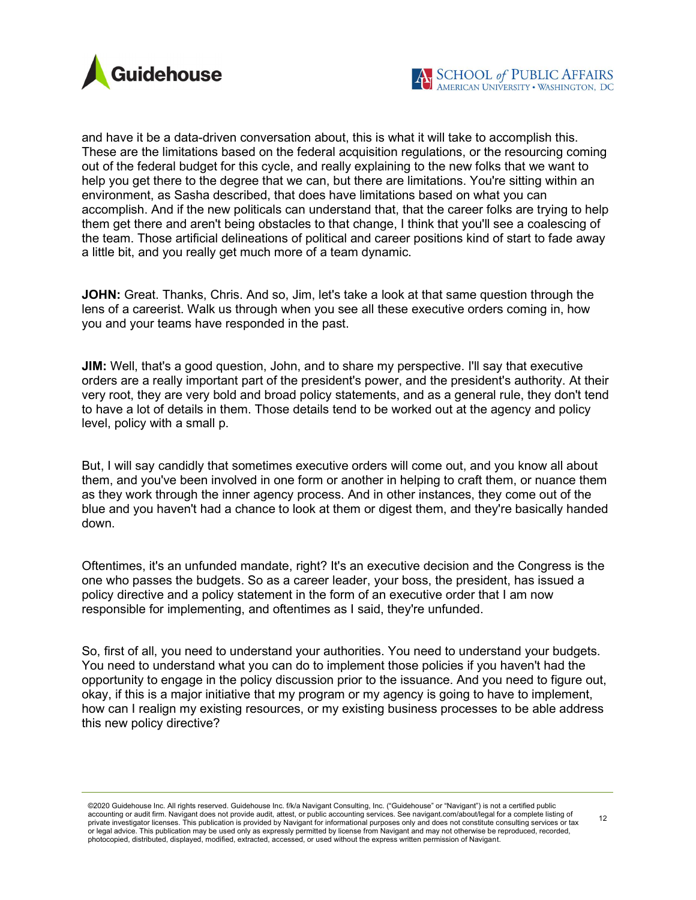

and have it be a data-driven conversation about, this is what it will take to accomplish this. These are the limitations based on the federal acquisition regulations, or the resourcing coming out of the federal budget for this cycle, and really explaining to the new folks that we want to help you get there to the degree that we can, but there are limitations. You're sitting within an environment, as Sasha described, that does have limitations based on what you can accomplish. And if the new politicals can understand that, that the career folks are trying to help them get there and aren't being obstacles to that change, I think that you'll see a coalescing of the team. Those artificial delineations of political and career positions kind of start to fade away a little bit, and you really get much more of a team dynamic.

JOHN: Great. Thanks, Chris. And so, Jim, let's take a look at that same question through the lens of a careerist. Walk us through when you see all these executive orders coming in, how you and your teams have responded in the past.

**JIM:** Well, that's a good question, John, and to share my perspective. I'll say that executive orders are a really important part of the president's power, and the president's authority. At their very root, they are very bold and broad policy statements, and as a general rule, they don't tend to have a lot of details in them. Those details tend to be worked out at the agency and policy level, policy with a small p.

But, I will say candidly that sometimes executive orders will come out, and you know all about them, and you've been involved in one form or another in helping to craft them, or nuance them as they work through the inner agency process. And in other instances, they come out of the blue and you haven't had a chance to look at them or digest them, and they're basically handed down.

Oftentimes, it's an unfunded mandate, right? It's an executive decision and the Congress is the one who passes the budgets. So as a career leader, your boss, the president, has issued a policy directive and a policy statement in the form of an executive order that I am now responsible for implementing, and oftentimes as I said, they're unfunded.

So, first of all, you need to understand your authorities. You need to understand your budgets. You need to understand what you can do to implement those policies if you haven't had the opportunity to engage in the policy discussion prior to the issuance. And you need to figure out, okay, if this is a major initiative that my program or my agency is going to have to implement, how can I realign my existing resources, or my existing business processes to be able address this new policy directive?

<sup>©2020</sup> Guidehouse Inc. All rights reserved. Guidehouse Inc. f/k/a Navigant Consulting, Inc. ("Guidehouse" or "Navigant") is not a certified public accounting or audit firm. Navigant does not provide audit, attest, or public accounting services. See navigant.com/about/legal for a complete listing of private investigator licenses. This publication is provided by Navigant for informational purposes only and does not constitute consulting services or tax or legal advice. This publication may be used only as expressly permitted by license from Navigant and may not otherwise be reproduced, recorded, photocopied, distributed, displayed, modified, extracted, accessed, or used without the express written permission of Navigant.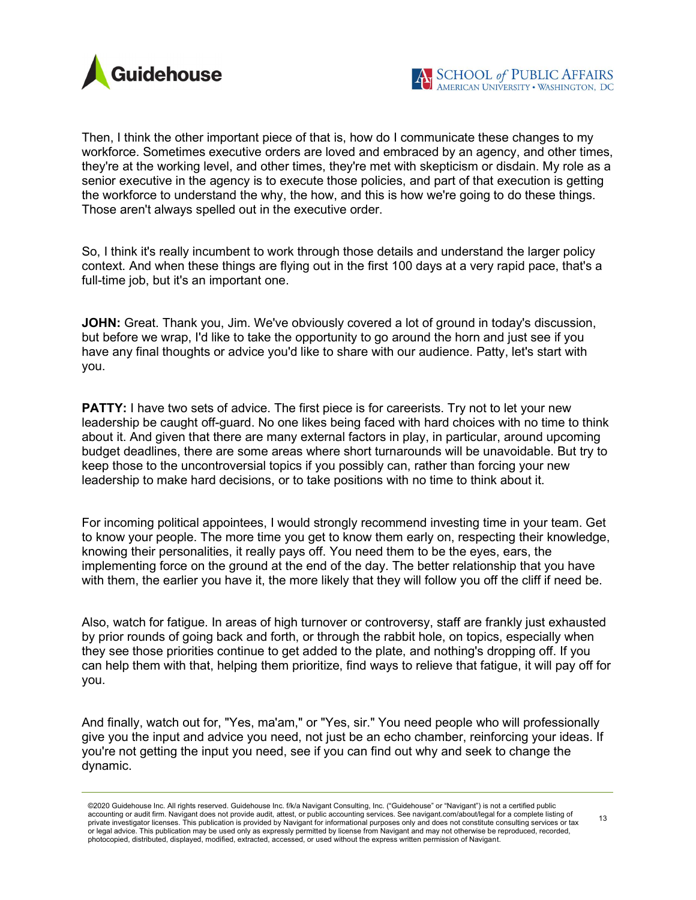

Then, I think the other important piece of that is, how do I communicate these changes to my workforce. Sometimes executive orders are loved and embraced by an agency, and other times, they're at the working level, and other times, they're met with skepticism or disdain. My role as a senior executive in the agency is to execute those policies, and part of that execution is getting the workforce to understand the why, the how, and this is how we're going to do these things. Those aren't always spelled out in the executive order.

So, I think it's really incumbent to work through those details and understand the larger policy context. And when these things are flying out in the first 100 days at a very rapid pace, that's a full-time job, but it's an important one.

JOHN: Great. Thank you, Jim. We've obviously covered a lot of ground in today's discussion, but before we wrap, I'd like to take the opportunity to go around the horn and just see if you have any final thoughts or advice you'd like to share with our audience. Patty, let's start with you.

**PATTY:** I have two sets of advice. The first piece is for careerists. Try not to let your new leadership be caught off-guard. No one likes being faced with hard choices with no time to think about it. And given that there are many external factors in play, in particular, around upcoming budget deadlines, there are some areas where short turnarounds will be unavoidable. But try to keep those to the uncontroversial topics if you possibly can, rather than forcing your new leadership to make hard decisions, or to take positions with no time to think about it.

For incoming political appointees, I would strongly recommend investing time in your team. Get to know your people. The more time you get to know them early on, respecting their knowledge, knowing their personalities, it really pays off. You need them to be the eyes, ears, the implementing force on the ground at the end of the day. The better relationship that you have with them, the earlier you have it, the more likely that they will follow you off the cliff if need be.

Also, watch for fatigue. In areas of high turnover or controversy, staff are frankly just exhausted by prior rounds of going back and forth, or through the rabbit hole, on topics, especially when they see those priorities continue to get added to the plate, and nothing's dropping off. If you can help them with that, helping them prioritize, find ways to relieve that fatigue, it will pay off for you.

And finally, watch out for, "Yes, ma'am," or "Yes, sir." You need people who will professionally give you the input and advice you need, not just be an echo chamber, reinforcing your ideas. If you're not getting the input you need, see if you can find out why and seek to change the dynamic.

<sup>©2020</sup> Guidehouse Inc. All rights reserved. Guidehouse Inc. f/k/a Navigant Consulting, Inc. ("Guidehouse" or "Navigant") is not a certified public accounting or audit firm. Navigant does not provide audit, attest, or public accounting services. See navigant.com/about/legal for a complete listing of private investigator licenses. This publication is provided by Navigant for informational purposes only and does not constitute consulting services or tax or legal advice. This publication may be used only as expressly permitted by license from Navigant and may not otherwise be reproduced, recorded, photocopied, distributed, displayed, modified, extracted, accessed, or used without the express written permission of Navigant.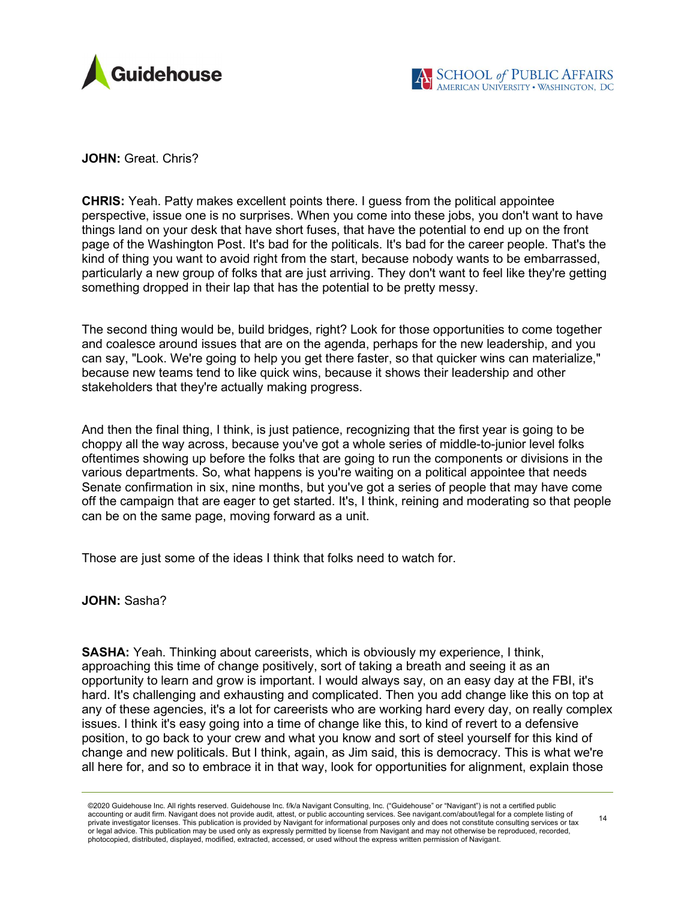

JOHN: Great. Chris?

CHRIS: Yeah. Patty makes excellent points there. I guess from the political appointee perspective, issue one is no surprises. When you come into these jobs, you don't want to have things land on your desk that have short fuses, that have the potential to end up on the front page of the Washington Post. It's bad for the politicals. It's bad for the career people. That's the kind of thing you want to avoid right from the start, because nobody wants to be embarrassed, particularly a new group of folks that are just arriving. They don't want to feel like they're getting something dropped in their lap that has the potential to be pretty messy.

The second thing would be, build bridges, right? Look for those opportunities to come together and coalesce around issues that are on the agenda, perhaps for the new leadership, and you can say, "Look. We're going to help you get there faster, so that quicker wins can materialize," because new teams tend to like quick wins, because it shows their leadership and other stakeholders that they're actually making progress.

And then the final thing, I think, is just patience, recognizing that the first year is going to be choppy all the way across, because you've got a whole series of middle-to-junior level folks oftentimes showing up before the folks that are going to run the components or divisions in the various departments. So, what happens is you're waiting on a political appointee that needs Senate confirmation in six, nine months, but you've got a series of people that may have come off the campaign that are eager to get started. It's, I think, reining and moderating so that people can be on the same page, moving forward as a unit.

Those are just some of the ideas I think that folks need to watch for.

JOHN: Sasha?

SASHA: Yeah. Thinking about careerists, which is obviously my experience, I think, approaching this time of change positively, sort of taking a breath and seeing it as an opportunity to learn and grow is important. I would always say, on an easy day at the FBI, it's hard. It's challenging and exhausting and complicated. Then you add change like this on top at any of these agencies, it's a lot for careerists who are working hard every day, on really complex issues. I think it's easy going into a time of change like this, to kind of revert to a defensive position, to go back to your crew and what you know and sort of steel yourself for this kind of change and new politicals. But I think, again, as Jim said, this is democracy. This is what we're all here for, and so to embrace it in that way, look for opportunities for alignment, explain those

<sup>©2020</sup> Guidehouse Inc. All rights reserved. Guidehouse Inc. f/k/a Navigant Consulting, Inc. ("Guidehouse" or "Navigant") is not a certified public accounting or audit firm. Navigant does not provide audit, attest, or public accounting services. See navigant.com/about/legal for a complete listing of private investigator licenses. This publication is provided by Navigant for informational purposes only and does not constitute consulting services or tax or legal advice. This publication may be used only as expressly permitted by license from Navigant and may not otherwise be reproduced, recorded, photocopied, distributed, displayed, modified, extracted, accessed, or used without the express written permission of Navigant.